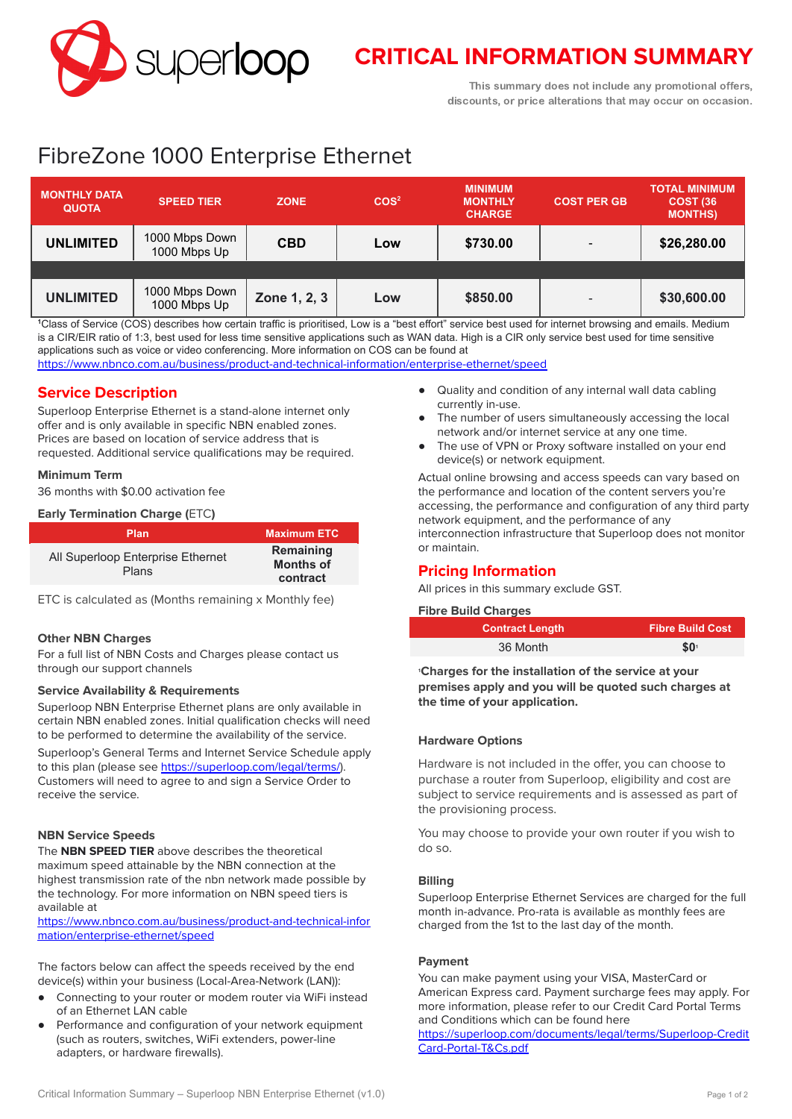

# **CRITICAL INFORMATION SUMMARY**

This summary does not include any promotional offers, discounts, or price alterations that may occur on occasion.

# FibreZone 1000 Enterprise Ethernet

| <b>MONTHLY DATA</b><br><b>QUOTA</b> | <b>SPEED TIER</b>              | <b>ZONE</b>  | COS <sup>2</sup> | <b>MINIMUM</b><br><b>MONTHLY</b><br><b>CHARGE</b> | <b>COST PER GB</b>       | <b>TOTAL MINIMUM</b><br><b>COST (36)</b><br><b>MONTHS)</b> |
|-------------------------------------|--------------------------------|--------------|------------------|---------------------------------------------------|--------------------------|------------------------------------------------------------|
| <b>UNLIMITED</b>                    | 1000 Mbps Down<br>1000 Mbps Up | <b>CBD</b>   | Low              | \$730.00                                          | $\overline{\phantom{a}}$ | \$26,280.00                                                |
|                                     |                                |              |                  |                                                   |                          |                                                            |
| <b>UNLIMITED</b>                    | 1000 Mbps Down<br>1000 Mbps Up | Zone 1, 2, 3 | Low              | \$850.00                                          | $\overline{\phantom{a}}$ | \$30,600.00                                                |

**<sup>1</sup>**Class of Service (COS) describes how certain traffic is prioritised, Low is a "best effort" service best used for internet browsing and emails. Medium is a CIR/EIR ratio of 1:3, best used for less time sensitive applications such as WAN data. High is a CIR only service best used for time sensitive applications such as voice or video conferencing. More information on COS can be found at <https://www.nbnco.com.au/business/product-and-technical-information/enterprise-ethernet/speed>

## **Service Description**

Superloop Enterprise Ethernet is a stand-alone internet only offer and is only available in specific NBN enabled zones. Prices are based on location of service address that is requested. Additional service qualifications may be required.

### **Minimum Term**

36 months with \$0.00 activation fee

#### **Early Termination Charge (**ETC**)**

| <b>Plan</b>                                | <b>Maximum ETC</b>                        |
|--------------------------------------------|-------------------------------------------|
| All Superloop Enterprise Ethernet<br>Plans | Remaining<br><b>Months of</b><br>contract |

ETC is calculated as (Months remaining x Monthly fee)

#### **Other NBN Charges**

For a full list of NBN Costs and Charges please contact us through our support channels

#### **Service Availability & Requirements**

Superloop NBN Enterprise Ethernet plans are only available in certain NBN enabled zones. Initial qualification checks will need to be performed to determine the availability of the service.

Superloop's General Terms and Internet Service Schedule apply to this plan (please see <https://superloop.com/legal/terms/>). Customers will need to agree to and sign a Service Order to receive the service.

### **NBN Service Speeds**

The **NBN SPEED TIER** above describes the theoretical maximum speed attainable by the NBN connection at the highest transmission rate of the nbn network made possible by the technology. For more information on NBN speed tiers is available at

[https://www.nbnco.com.au/business/product-and-technical-infor](https://www.nbnco.com.au/business/product-and-technical-information/enterprise-ethernet/speed) [mation/enterprise-ethernet/speed](https://www.nbnco.com.au/business/product-and-technical-information/enterprise-ethernet/speed)

The factors below can affect the speeds received by the end device(s) within your business (Local-Area-Network (LAN)):

- Connecting to your router or modem router via WiFi instead of an Ethernet LAN cable
- Performance and configuration of your network equipment (such as routers, switches, WiFi extenders, power-line adapters, or hardware firewalls).
- Quality and condition of any internal wall data cabling currently in-use.
- The number of users simultaneously accessing the local network and/or internet service at any one time.
- The use of VPN or Proxy software installed on your end device(s) or network equipment.

Actual online browsing and access speeds can vary based on the performance and location of the content servers you're accessing, the performance and configuration of any third party network equipment, and the performance of any interconnection infrastructure that Superloop does not monitor or maintain.

## **Pricing Information**

All prices in this summary exclude GST.

#### **Fibre Build Charges**

| <b>Contract Length</b> | <b>Fibre Build Cost</b> |
|------------------------|-------------------------|
| 36 Month               | \$0 <sub>1</sub>        |

**<sup>1</sup>Charges for the installation of the service at your premises apply and you will be quoted such charges at the time of your application.**

#### **Hardware Options**

Hardware is not included in the offer, you can choose to purchase a router from Superloop, eligibility and cost are subject to service requirements and is assessed as part of the provisioning process.

You may choose to provide your own router if you wish to do so.

#### **Billing**

Superloop Enterprise Ethernet Services are charged for the full month in-advance. Pro-rata is available as monthly fees are charged from the 1st to the last day of the month.

#### **Payment**

You can make payment using your VISA, MasterCard or American Express card. Payment surcharge fees may apply. For more information, please refer to our Credit Card Portal Terms and Conditions which can be found here [https://superloop.com/documents/legal/terms/Superloop-Credit](https://superloop.com/documents/legal/terms/Superloop-CreditCard-Portal-T&Cs.pdf) [Card-Portal-T&Cs.pdf](https://superloop.com/documents/legal/terms/Superloop-CreditCard-Portal-T&Cs.pdf)